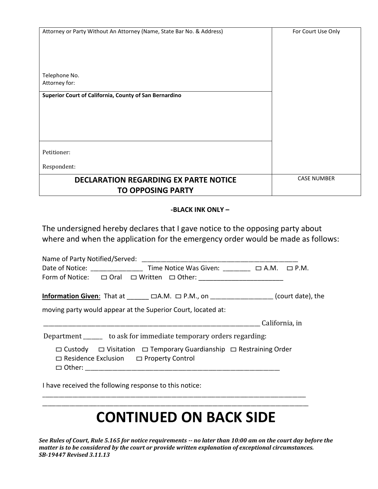| Attorney or Party Without An Attorney (Name, State Bar No. & Address) | For Court Use Only |
|-----------------------------------------------------------------------|--------------------|
|                                                                       |                    |
|                                                                       |                    |
| Telephone No.                                                         |                    |
| Attorney for:                                                         |                    |
| Superior Court of California, County of San Bernardino                |                    |
|                                                                       |                    |
|                                                                       |                    |
|                                                                       |                    |
|                                                                       |                    |
| Petitioner:                                                           |                    |
| Respondent:                                                           |                    |
| <b>DECLARATION REGARDING EX PARTE NOTICE</b>                          | <b>CASE NUMBER</b> |
| <b>TO OPPOSING PARTY</b>                                              |                    |

## **-BLACK INK ONLY –**

The undersigned hereby declares that I gave notice to the opposing party about where and when the application for the emergency order would be made as follows:

| Form of Notice: $\Box$ Oral $\Box$ Written $\Box$ Other: _____________________________                                                        |                        |
|-----------------------------------------------------------------------------------------------------------------------------------------------|------------------------|
| <b>Information Given:</b> That at $\Box$ $\Box$ A.M. $\Box$ P.M., on $\Box$ (court date), the                                                 |                        |
| moving party would appear at the Superior Court, located at:                                                                                  |                        |
|                                                                                                                                               | <u>California</u> , in |
| Department _______ to ask for immediate temporary orders regarding:                                                                           |                        |
| $\Box$ Custody $\Box$ Visitation $\Box$ Temporary Guardianship $\Box$ Restraining Order<br>$\Box$ Residence Exclusion $\Box$ Property Control |                        |
|                                                                                                                                               |                        |

I have received the following response to this notice:

# **CONTINUED ON BACK SIDE**

\_\_\_\_\_\_\_\_\_\_\_\_\_\_\_\_\_\_\_\_\_\_\_\_\_\_\_\_\_\_\_\_\_\_\_\_\_\_\_\_\_\_\_\_\_\_\_\_\_\_\_\_\_\_\_\_\_\_\_\_\_\_\_\_\_\_\_\_\_\_\_\_\_\_\_\_\_\_\_\_\_\_\_\_\_\_\_\_\_\_\_\_\_\_\_\_  $\overline{\phantom{a}}$  , and the contribution of the contribution of the contribution of the contribution of the contribution of the contribution of the contribution of the contribution of the contribution of the contribution of the

*See Rules of Court, Rule 5.165 for notice requirements -- no later than 10:00 am on the court day before the matter is to be considered by the court or provide written explanation of exceptional circumstances. SB-19447 Revised 3.11.13*